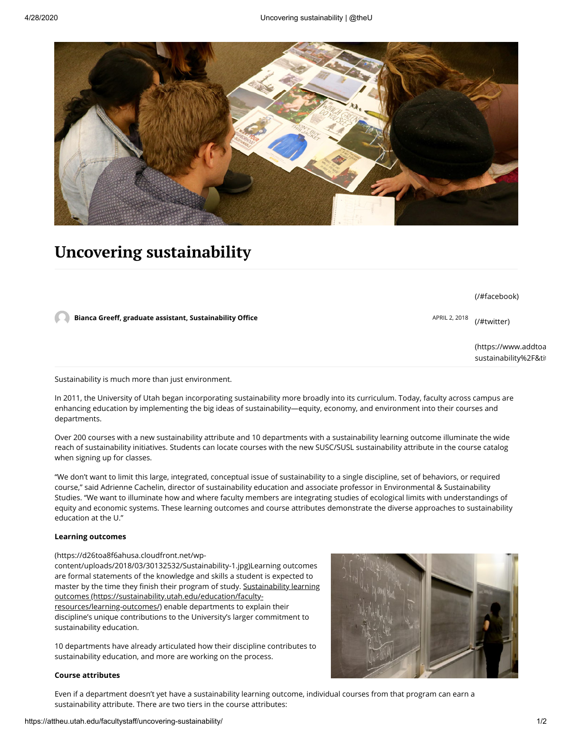

# **Uncovering sustainability**

|                                                                                       | (/#facebook)                                |
|---------------------------------------------------------------------------------------|---------------------------------------------|
| Bianca Greeff, graduate assistant, Sustainability Office<br>APRIL 2, 2018 (/#twitter) |                                             |
|                                                                                       | (https://www.addtoa<br>sustainability%2F&ti |

Sustainability is much more than just environment.

In 2011, the University of Utah began incorporating sustainability more broadly into its curriculum. Today, faculty across campus are enhancing education by implementing the big ideas of sustainability—equity, economy, and environment into their courses and departments.

Over 200 courses with a new sustainability attribute and 10 departments with a sustainability learning outcome illuminate the wide reach of sustainability initiatives. Students can locate courses with the new SUSC/SUSL sustainability attribute in the course catalog when signing up for classes.

"We don't want to limit this large, integrated, conceptual issue of sustainability to a single discipline, set of behaviors, or required course," said Adrienne Cachelin, director of sustainability education and associate professor in Environmental & Sustainability Studies. "We want to illuminate how and where faculty members are integrating studies of ecological limits with understandings of equity and economic systems. These learning outcomes and course attributes demonstrate the diverse approaches to sustainability education at the U."

### **Learning outcomes**

#### (https://d26toa8f6ahusa.cloudfront.net/wp-

content/uploads/2018/03/30132532/Sustainability-1.jpg)Learning outcomes are formal statements of the knowledge and skills a student is expected to master by the time they finish their program of study. Sustainability learning outcomes (https://sustainability.utah.edu/education/facultyresources/learning-outcomes/) enable departments to explain their discipline's unique contributions to the University's larger commitment to sustainability education.

10 departments have already articulated how their discipline contributes to sustainability education, and more are working on the process.

#### **Course attributes**